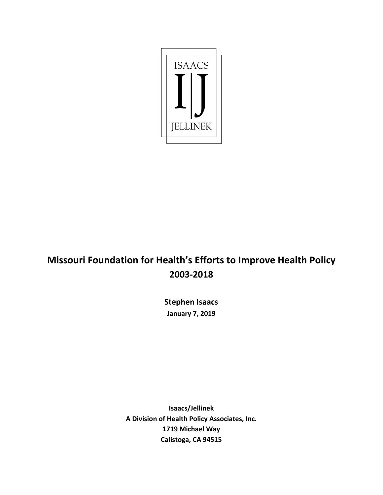

# **Missouri Foundation for Health's Efforts to Improve Health Policy 2003-2018**

**Stephen Isaacs January 7, 2019**

**Isaacs/Jellinek A Division of Health Policy Associates, Inc. 1719 Michael Way Calistoga, CA 94515**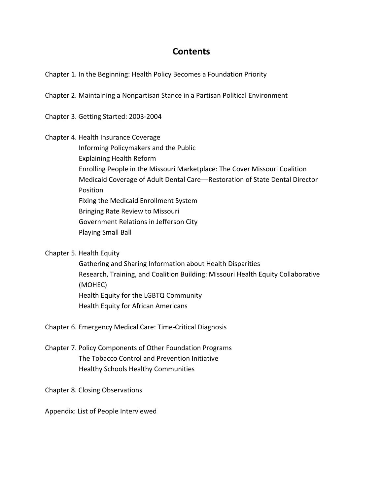# **Contents**

[Chapter 1. In the Beginning: Health Policy Becomes a Foundation Priority](#page-2-0)

[Chapter 2. Maintaining a Nonpartisan Stance in a Partisan Political Environment](#page-4-0)

[Chapter 3. Getting Started: 2003-2004](#page-6-0)

Chapter 4. [Health Insurance Coverage](#page-8-0)

[Informing Policymakers and the Public](#page-8-0)

[Explaining Health Reform](#page-10-0)

[Enrolling People in the Missouri Marketplace: The Cover Missouri Coalition](#page-12-0)

[Medicaid Coverage of Adult Dental Care](#page-13-0)—Restoration of State Dental Director Position

[Fixing the Medicaid](#page-16-0) Enrollment System

[Bringing Rate Review to Missouri](#page-17-0)

[Government Relations in Jefferson City](#page-18-0)

[Playing Small Ball](#page-19-0)

[Chapter 5. Health Equity](#page-21-0)

[Gathering and Sharing Information about Health Disparities](#page-21-0) [Research, Training, and Coalition Building: Missouri Health Equity Collaborative](#page-22-0)  (MOHEC) [Health Equity for the LGBTQ Community](#page-23-0) [Health Equity for African Americans](#page-25-0)

[Chapter 6. Emergency Medical Care: Time-Critical Diagnosis](#page-29-0)

[Chapter 7. Policy Components of Other Foundation Programs](#page-31-0) [The Tobacco Control and Prevention Initiative](#page-31-0) [Healthy Schools Healthy Communities](#page-32-0) 

[Chapter 8. Closing Observations](#page-33-0)

[Appendix: List of People Interviewed](#page-36-0)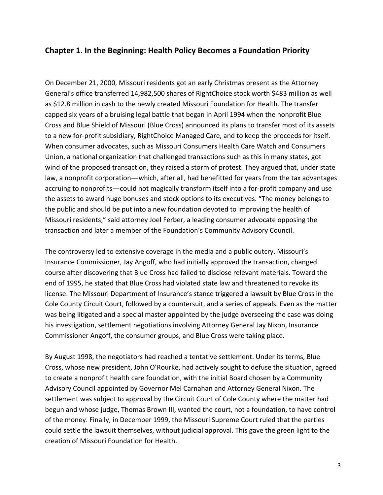# <span id="page-2-0"></span>**Chapter 1. In the Beginning: Health Policy Becomes a Foundation Priority**

On December 21, 2000, Missouri residents got an early Christmas present as the Attorney General's office transferred 14,982,500 shares of RightChoice stock worth \$483 million as well as \$12.8 million in cash to the newly created Missouri Foundation for Health. The transfer capped six years of a bruising legal battle that began in April 1994 when the nonprofit Blue Cross and Blue Shield of Missouri (Blue Cross) announced its plans to transfer most of its assets to a new for-profit subsidiary, RightChoice Managed Care, and to keep the proceeds for itself. When consumer advocates, such as Missouri Consumers Health Care Watch and Consumers Union, a national organization that challenged transactions such as this in many states, got wind of the proposed transaction, they raised a storm of protest. They argued that, under state law, a nonprofit corporation—which, after all, had benefitted for years from the tax advantages accruing to nonprofits—could not magically transform itself into a for-profit company and use the assets to award huge bonuses and stock options to its executives. "The money belongs to the public and should be put into a new foundation devoted to improving the health of Missouri residents," said attorney Joel Ferber, a leading consumer advocate opposing the transaction and later a member of the Foundation's Community Advisory Council.

The controversy led to extensive coverage in the media and a public outcry. Missouri's Insurance Commissioner, Jay Angoff, who had initially approved the transaction, changed course after discovering that Blue Cross had failed to disclose relevant materials. Toward the end of 1995, he stated that Blue Cross had violated state law and threatened to revoke its license. The Missouri Department of Insurance's stance triggered a lawsuit by Blue Cross in the Cole County Circuit Court, followed by a countersuit, and a series of appeals. Even as the matter was being litigated and a special master appointed by the judge overseeing the case was doing his investigation, settlement negotiations involving Attorney General Jay Nixon, Insurance Commissioner Angoff, the consumer groups, and Blue Cross were taking place.

By August 1998, the negotiators had reached a tentative settlement. Under its terms, Blue Cross, whose new president, John O'Rourke, had actively sought to defuse the situation, agreed to create a nonprofit health care foundation, with the initial Board chosen by a Community Advisory Council appointed by Governor Mel Carnahan and Attorney General Nixon. The settlement was subject to approval by the Circuit Court of Cole County where the matter had begun and whose judge, Thomas Brown III, wanted the court, not a foundation, to have control of the money. Finally, in December 1999, the Missouri Supreme Court ruled that the parties could settle the lawsuit themselves, without judicial approval. This gave the green light to the creation of Missouri Foundation for Health.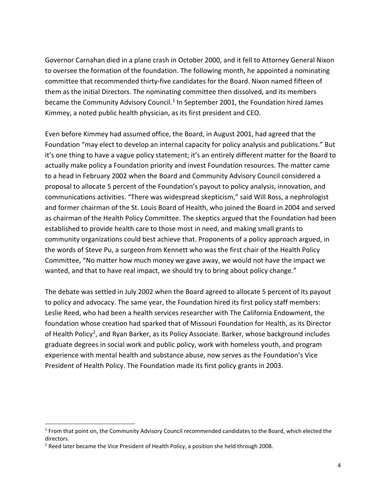Governor Carnahan died in a plane crash in October 2000, and it fell to Attorney General Nixon to oversee the formation of the foundation. The following month, he appointed a nominating committee that recommended thirty-five candidates for the Board. Nixon named fifteen of them as the initial Directors. The nominating committee then dissolved, and its members became the Community Advisory Council.<sup>[1](#page-3-0)</sup> In September 2001, the Foundation hired James Kimmey, a noted public health physician, as its first president and CEO.

Even before Kimmey had assumed office, the Board, in August 2001, had agreed that the Foundation "may elect to develop an internal capacity for policy analysis and publications." But it's one thing to have a vague policy statement; it's an entirely different matter for the Board to actually make policy a Foundation priority and invest Foundation resources. The matter came to a head in February 2002 when the Board and Community Advisory Council considered a proposal to allocate 5 percent of the Foundation's payout to policy analysis, innovation, and communications activities. "There was widespread skepticism," said Will Ross, a nephrologist and former chairman of the St. Louis Board of Health, who joined the Board in 2004 and served as chairman of the Health Policy Committee. The skeptics argued that the Foundation had been established to provide health care to those most in need, and making small grants to community organizations could best achieve that. Proponents of a policy approach argued, in the words of Steve Pu, a surgeon from Kennett who was the first chair of the Health Policy Committee, "No matter how much money we gave away, we would not have the impact we wanted, and that to have real impact, we should try to bring about policy change."

The debate was settled in July 2002 when the Board agreed to allocate 5 percent of its payout to policy and advocacy. The same year, the Foundation hired its first policy staff members: Leslie Reed, who had been a health services researcher with The California Endowment, the foundation whose creation had sparked that of Missouri Foundation for Health, as its Director of Health Policy<sup>2</sup>, and Ryan Barker, as its Policy Associate. Barker, whose background includes graduate degrees in social work and public policy, work with homeless youth, and program experience with mental health and substance abuse, now serves as the Foundation's Vice President of Health Policy. The Foundation made its first policy grants in 2003.

<span id="page-3-0"></span><sup>&</sup>lt;sup>1</sup> From that point on, the Community Advisory Council recommended candidates to the Board, which elected the directors.

<span id="page-3-1"></span><sup>&</sup>lt;sup>2</sup> Reed later became the Vice President of Health Policy, a position she held through 2008.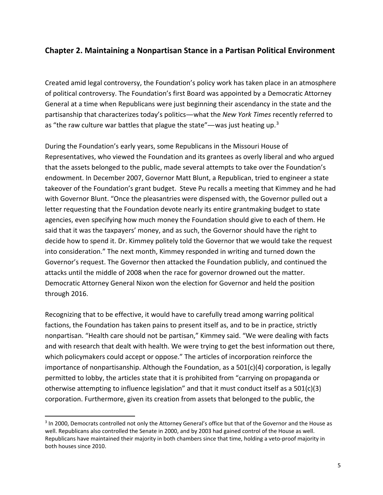# <span id="page-4-0"></span>**Chapter 2. Maintaining a Nonpartisan Stance in a Partisan Political Environment**

Created amid legal controversy, the Foundation's policy work has taken place in an atmosphere of political controversy. The Foundation's first Board was appointed by a Democratic Attorney General at a time when Republicans were just beginning their ascendancy in the state and the partisanship that characterizes today's politics—what the *New York Times* recently referred to as "the raw culture war battles that plague the state"—was just heating up. $3$ 

During the Foundation's early years, some Republicans in the Missouri House of Representatives, who viewed the Foundation and its grantees as overly liberal and who argued that the assets belonged to the public, made several attempts to take over the Foundation's endowment. In December 2007, Governor Matt Blunt, a Republican, tried to engineer a state takeover of the Foundation's grant budget. Steve Pu recalls a meeting that Kimmey and he had with Governor Blunt. "Once the pleasantries were dispensed with, the Governor pulled out a letter requesting that the Foundation devote nearly its entire grantmaking budget to state agencies, even specifying how much money the Foundation should give to each of them. He said that it was the taxpayers' money, and as such, the Governor should have the right to decide how to spend it. Dr. Kimmey politely told the Governor that we would take the request into consideration." The next month, Kimmey responded in writing and turned down the Governor's request. The Governor then attacked the Foundation publicly, and continued the attacks until the middle of 2008 when the race for governor drowned out the matter. Democratic Attorney General Nixon won the election for Governor and held the position through 2016.

Recognizing that to be effective, it would have to carefully tread among warring political factions, the Foundation has taken pains to present itself as, and to be in practice, strictly nonpartisan. "Health care should not be partisan," Kimmey said. "We were dealing with facts and with research that dealt with health. We were trying to get the best information out there, which policymakers could accept or oppose." The articles of incorporation reinforce the importance of nonpartisanship. Although the Foundation, as a 501(c)(4) corporation, is legally permitted to lobby, the articles state that it is prohibited from "carrying on propaganda or otherwise attempting to influence legislation" and that it must conduct itself as a 501(c)(3) corporation. Furthermore, given its creation from assets that belonged to the public, the

<span id="page-4-1"></span><sup>&</sup>lt;sup>3</sup> In 2000, Democrats controlled not only the Attorney General's office but that of the Governor and the House as well. Republicans also controlled the Senate in 2000, and by 2003 had gained control of the House as well. Republicans have maintained their majority in both chambers since that time, holding a veto-proof majority in both houses since 2010.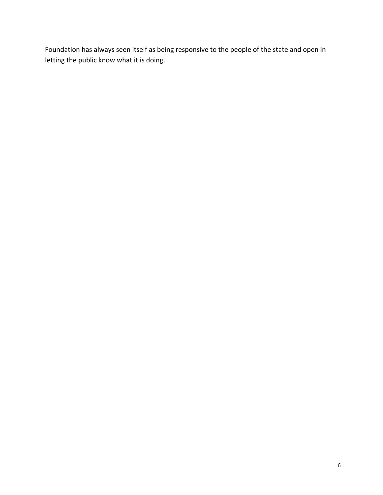Foundation has always seen itself as being responsive to the people of the state and open in letting the public know what it is doing.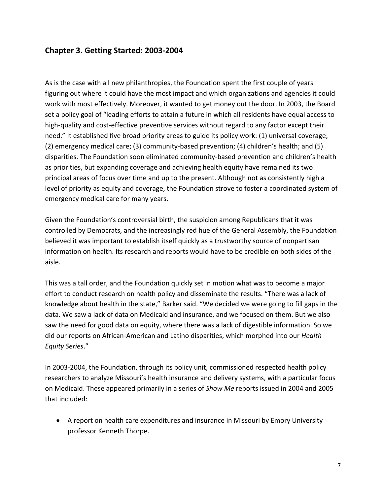# <span id="page-6-0"></span>**Chapter 3. Getting Started: 2003-2004**

As is the case with all new philanthropies, the Foundation spent the first couple of years figuring out where it could have the most impact and which organizations and agencies it could work with most effectively. Moreover, it wanted to get money out the door. In 2003, the Board set a policy goal of "leading efforts to attain a future in which all residents have equal access to high-quality and cost-effective preventive services without regard to any factor except their need." It established five broad priority areas to guide its policy work: (1) universal coverage; (2) emergency medical care; (3) community-based prevention; (4) children's health; and (5) disparities. The Foundation soon eliminated community-based prevention and children's health as priorities, but expanding coverage and achieving health equity have remained its two principal areas of focus over time and up to the present. Although not as consistently high a level of priority as equity and coverage, the Foundation strove to foster a coordinated system of emergency medical care for many years.

Given the Foundation's controversial birth, the suspicion among Republicans that it was controlled by Democrats, and the increasingly red hue of the General Assembly, the Foundation believed it was important to establish itself quickly as a trustworthy source of nonpartisan information on health. Its research and reports would have to be credible on both sides of the aisle.

This was a tall order, and the Foundation quickly set in motion what was to become a major effort to conduct research on health policy and disseminate the results. "There was a lack of knowledge about health in the state," Barker said. "We decided we were going to fill gaps in the data. We saw a lack of data on Medicaid and insurance, and we focused on them. But we also saw the need for good data on equity, where there was a lack of digestible information. So we did our reports on African-American and Latino disparities, which morphed into our *Health Equity Series*."

In 2003-2004, the Foundation, through its policy unit, commissioned respected health policy researchers to analyze Missouri's health insurance and delivery systems, with a particular focus on Medicaid. These appeared primarily in a series of *Show Me* reports issued in 2004 and 2005 that included:

• A report on health care expenditures and insurance in Missouri by Emory University professor Kenneth Thorpe.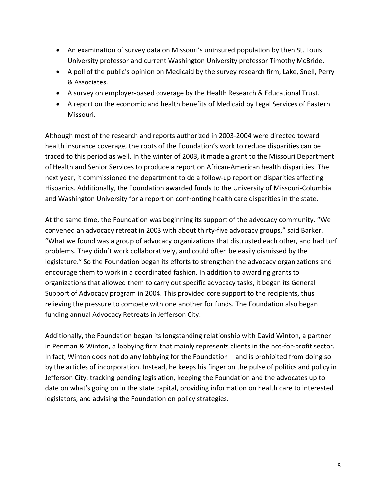- An examination of survey data on Missouri's uninsured population by then St. Louis University professor and current Washington University professor Timothy McBride.
- A poll of the public's opinion on Medicaid by the survey research firm, Lake, Snell, Perry & Associates.
- A survey on employer-based coverage by the Health Research & Educational Trust.
- A report on the economic and health benefits of Medicaid by Legal Services of Eastern Missouri.

Although most of the research and reports authorized in 2003-2004 were directed toward health insurance coverage, the roots of the Foundation's work to reduce disparities can be traced to this period as well. In the winter of 2003, it made a grant to the Missouri Department of Health and Senior Services to produce a report on African-American health disparities. The next year, it commissioned the department to do a follow-up report on disparities affecting Hispanics. Additionally, the Foundation awarded funds to the University of Missouri-Columbia and Washington University for a report on confronting health care disparities in the state.

At the same time, the Foundation was beginning its support of the advocacy community. "We convened an advocacy retreat in 2003 with about thirty-five advocacy groups," said Barker. "What we found was a group of advocacy organizations that distrusted each other, and had turf problems. They didn't work collaboratively, and could often be easily dismissed by the legislature." So the Foundation began its efforts to strengthen the advocacy organizations and encourage them to work in a coordinated fashion. In addition to awarding grants to organizations that allowed them to carry out specific advocacy tasks, it began its General Support of Advocacy program in 2004. This provided core support to the recipients, thus relieving the pressure to compete with one another for funds. The Foundation also began funding annual Advocacy Retreats in Jefferson City.

Additionally, the Foundation began its longstanding relationship with David Winton, a partner in Penman & Winton, a lobbying firm that mainly represents clients in the not-for-profit sector. In fact, Winton does not do any lobbying for the Foundation—and is prohibited from doing so by the articles of incorporation. Instead, he keeps his finger on the pulse of politics and policy in Jefferson City: tracking pending legislation, keeping the Foundation and the advocates up to date on what's going on in the state capital, providing information on health care to interested legislators, and advising the Foundation on policy strategies.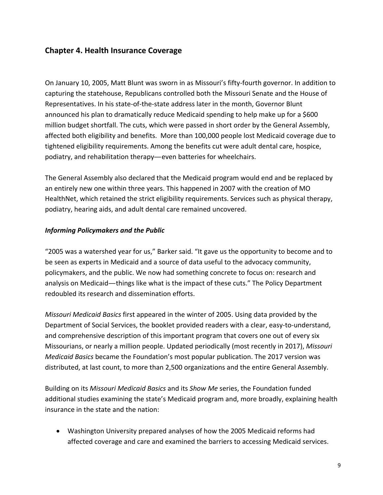# <span id="page-8-0"></span>**Chapter 4. Health Insurance Coverage**

On January 10, 2005, Matt Blunt was sworn in as Missouri's fifty-fourth governor. In addition to capturing the statehouse, Republicans controlled both the Missouri Senate and the House of Representatives. In his state-of-the-state address later in the month, Governor Blunt announced his plan to dramatically reduce Medicaid spending to help make up for a \$600 million budget shortfall. The cuts, which were passed in short order by the General Assembly, affected both eligibility and benefits. More than 100,000 people lost Medicaid coverage due to tightened eligibility requirements. Among the benefits cut were adult dental care, hospice, podiatry, and rehabilitation therapy—even batteries for wheelchairs.

The General Assembly also declared that the Medicaid program would end and be replaced by an entirely new one within three years. This happened in 2007 with the creation of MO HealthNet, which retained the strict eligibility requirements. Services such as physical therapy, podiatry, hearing aids, and adult dental care remained uncovered.

### *Informing Policymakers and the Public*

"2005 was a watershed year for us," Barker said. "It gave us the opportunity to become and to be seen as experts in Medicaid and a source of data useful to the advocacy community, policymakers, and the public. We now had something concrete to focus on: research and analysis on Medicaid—things like what is the impact of these cuts." The Policy Department redoubled its research and dissemination efforts.

*Missouri Medicaid Basics* first appeared in the winter of 2005. Using data provided by the Department of Social Services, the booklet provided readers with a clear, easy-to-understand, and comprehensive description of this important program that covers one out of every six Missourians, or nearly a million people. Updated periodically (most recently in 2017), *Missouri Medicaid Basics* became the Foundation's most popular publication. The 2017 version was distributed, at last count, to more than 2,500 organizations and the entire General Assembly.

Building on its *Missouri Medicaid Basics* and its *Show Me* series, the Foundation funded additional studies examining the state's Medicaid program and, more broadly, explaining health insurance in the state and the nation:

• Washington University prepared analyses of how the 2005 Medicaid reforms had affected coverage and care and examined the barriers to accessing Medicaid services.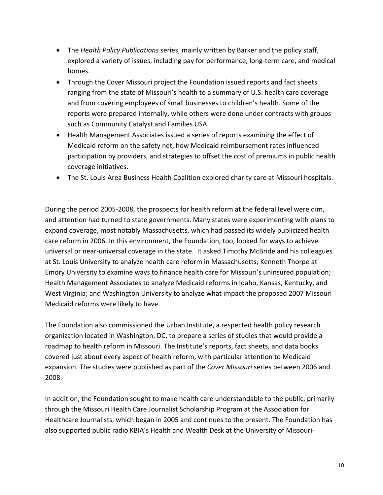- The *Health Policy Publications* series, mainly written by Barker and the policy staff, explored a variety of issues, including pay for performance, long-term care, and medical homes.
- Through the Cover Missouri project the Foundation issued reports and fact sheets ranging from the state of Missouri's health to a summary of U.S. health care coverage and from covering employees of small businesses to children's health. Some of the reports were prepared internally, while others were done under contracts with groups such as Community Catalyst and Families USA.
- Health Management Associates issued a series of reports examining the effect of Medicaid reform on the safety net, how Medicaid reimbursement rates influenced participation by providers, and strategies to offset the cost of premiums in public health coverage initiatives.
- The St. Louis Area Business Health Coalition explored charity care at Missouri hospitals.

During the period 2005-2008, the prospects for health reform at the federal level were dim, and attention had turned to state governments. Many states were experimenting with plans to expand coverage, most notably Massachusetts, which had passed its widely publicized health care reform in 2006. In this environment, the Foundation, too, looked for ways to achieve universal or near-universal coverage in the state. It asked Timothy McBride and his colleagues at St. Louis University to analyze health care reform in Massachusetts; Kenneth Thorpe at Emory University to examine ways to finance health care for Missouri's uninsured population; Health Management Associates to analyze Medicaid reforms in Idaho, Kansas, Kentucky, and West Virginia; and Washington University to analyze what impact the proposed 2007 Missouri Medicaid reforms were likely to have.

The Foundation also commissioned the Urban Institute, a respected health policy research organization located in Washington, DC, to prepare a series of studies that would provide a roadmap to health reform in Missouri. The Institute's reports, fact sheets, and data books covered just about every aspect of health reform, with particular attention to Medicaid expansion. The studies were published as part of the *Cover Missouri* series between 2006 and 2008.

In addition, the Foundation sought to make health care understandable to the public, primarily through the Missouri Health Care Journalist Scholarship Program at the Association for Healthcare Journalists, which began in 2005 and continues to the present. The Foundation has also supported public radio KBIA's Health and Wealth Desk at the University of Missouri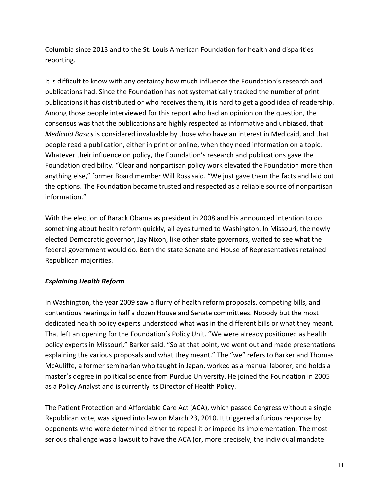<span id="page-10-0"></span>Columbia since 2013 and to the St. Louis American Foundation for health and disparities reporting.

It is difficult to know with any certainty how much influence the Foundation's research and publications had. Since the Foundation has not systematically tracked the number of print publications it has distributed or who receives them, it is hard to get a good idea of readership. Among those people interviewed for this report who had an opinion on the question, the consensus was that the publications are highly respected as informative and unbiased, that *Medicaid Basics* is considered invaluable by those who have an interest in Medicaid, and that people read a publication, either in print or online, when they need information on a topic. Whatever their influence on policy, the Foundation's research and publications gave the Foundation credibility. "Clear and nonpartisan policy work elevated the Foundation more than anything else," former Board member Will Ross said. "We just gave them the facts and laid out the options. The Foundation became trusted and respected as a reliable source of nonpartisan information."

With the election of Barack Obama as president in 2008 and his announced intention to do something about health reform quickly, all eyes turned to Washington. In Missouri, the newly elected Democratic governor, Jay Nixon, like other state governors, waited to see what the federal government would do. Both the state Senate and House of Representatives retained Republican majorities.

### *Explaining Health Reform*

In Washington, the year 2009 saw a flurry of health reform proposals, competing bills, and contentious hearings in half a dozen House and Senate committees. Nobody but the most dedicated health policy experts understood what was in the different bills or what they meant. That left an opening for the Foundation's Policy Unit. "We were already positioned as health policy experts in Missouri," Barker said. "So at that point, we went out and made presentations explaining the various proposals and what they meant." The "we" refers to Barker and Thomas McAuliffe, a former seminarian who taught in Japan, worked as a manual laborer, and holds a master's degree in political science from Purdue University. He joined the Foundation in 2005 as a Policy Analyst and is currently its Director of Health Policy.

The Patient Protection and Affordable Care Act (ACA), which passed Congress without a single Republican vote, was signed into law on March 23, 2010. It triggered a furious response by opponents who were determined either to repeal it or impede its implementation. The most serious challenge was a lawsuit to have the ACA (or, more precisely, the individual mandate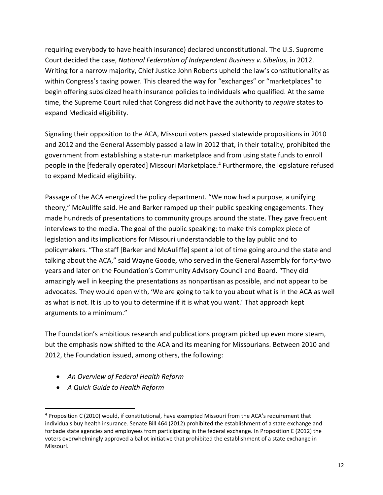requiring everybody to have health insurance) declared unconstitutional. The U.S. Supreme Court decided the case, *National Federation of Independent Business v. Sibelius*, in 2012. Writing for a narrow majority, Chief Justice John Roberts upheld the law's constitutionality as within Congress's taxing power. This cleared the way for "exchanges" or "marketplaces" to begin offering subsidized health insurance policies to individuals who qualified. At the same time, the Supreme Court ruled that Congress did not have the authority to *require* states to expand Medicaid eligibility.

Signaling their opposition to the ACA, Missouri voters passed statewide propositions in 2010 and 2012 and the General Assembly passed a law in 2012 that, in their totality, prohibited the government from establishing a state-run marketplace and from using state funds to enroll people in the [federally operated] Missouri Marketplace.<sup>[4](#page-11-0)</sup> Furthermore, the legislature refused to expand Medicaid eligibility.

Passage of the ACA energized the policy department. "We now had a purpose, a unifying theory," McAuliffe said. He and Barker ramped up their public speaking engagements. They made hundreds of presentations to community groups around the state. They gave frequent interviews to the media. The goal of the public speaking: to make this complex piece of legislation and its implications for Missouri understandable to the lay public and to policymakers. "The staff [Barker and McAuliffe] spent a lot of time going around the state and talking about the ACA," said Wayne Goode, who served in the General Assembly for forty-two years and later on the Foundation's Community Advisory Council and Board. "They did amazingly well in keeping the presentations as nonpartisan as possible, and not appear to be advocates. They would open with, 'We are going to talk to you about what is in the ACA as well as what is not. It is up to you to determine if it is what you want.' That approach kept arguments to a minimum."

The Foundation's ambitious research and publications program picked up even more steam, but the emphasis now shifted to the ACA and its meaning for Missourians. Between 2010 and 2012, the Foundation issued, among others, the following:

- *An Overview of Federal Health Reform*
- *A Quick Guide to Health Reform*

<span id="page-11-0"></span><sup>4</sup> Proposition C (2010) would, if constitutional, have exempted Missouri from the ACA's requirement that individuals buy health insurance. Senate Bill 464 (2012) prohibited the establishment of a state exchange and forbade state agencies and employees from participating in the federal exchange. In Proposition E (2012) the voters overwhelmingly approved a ballot initiative that prohibited the establishment of a state exchange in Missouri.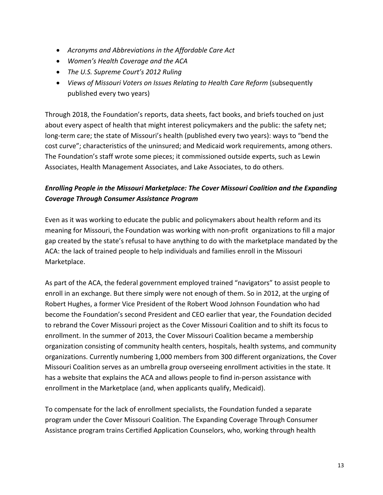- <span id="page-12-0"></span>• *Acronyms and Abbreviations in the Affordable Care Act*
- *Women's Health Coverage and the ACA*
- *The U.S. Supreme Court's 2012 Ruling*
- Views of Missouri Voters on Issues Relating to Health Care Reform (subsequently published every two years)

Through 2018, the Foundation's reports, data sheets, fact books, and briefs touched on just about every aspect of health that might interest policymakers and the public: the safety net; long-term care; the state of Missouri's health (published every two years): ways to "bend the cost curve"; characteristics of the uninsured; and Medicaid work requirements, among others. The Foundation's staff wrote some pieces; it commissioned outside experts, such as Lewin Associates, Health Management Associates, and Lake Associates, to do others.

# *Enrolling People in the Missouri Marketplace: The Cover Missouri Coalition and the Expanding Coverage Through Consumer Assistance Program*

Even as it was working to educate the public and policymakers about health reform and its meaning for Missouri, the Foundation was working with non-profit organizations to fill a major gap created by the state's refusal to have anything to do with the marketplace mandated by the ACA: the lack of trained people to help individuals and families enroll in the Missouri Marketplace.

As part of the ACA, the federal government employed trained "navigators" to assist people to enroll in an exchange. But there simply were not enough of them. So in 2012, at the urging of Robert Hughes, a former Vice President of the Robert Wood Johnson Foundation who had become the Foundation's second President and CEO earlier that year, the Foundation decided to rebrand the Cover Missouri project as the Cover Missouri Coalition and to shift its focus to enrollment. In the summer of 2013, the Cover Missouri Coalition became a membership organization consisting of community health centers, hospitals, health systems, and community organizations. Currently numbering 1,000 members from 300 different organizations, the Cover Missouri Coalition serves as an umbrella group overseeing enrollment activities in the state. It has a website that explains the ACA and allows people to find in-person assistance with enrollment in the Marketplace (and, when applicants qualify, Medicaid).

To compensate for the lack of enrollment specialists, the Foundation funded a separate program under the Cover Missouri Coalition. The Expanding Coverage Through Consumer Assistance program trains Certified Application Counselors, who, working through health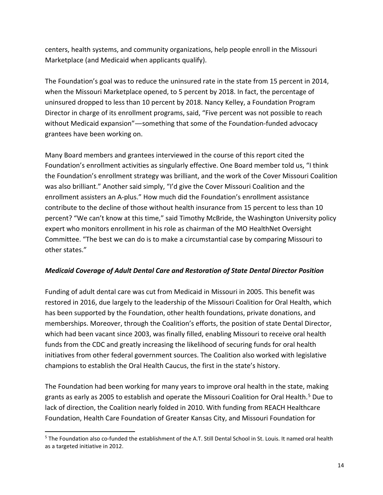<span id="page-13-0"></span>centers, health systems, and community organizations, help people enroll in the Missouri Marketplace (and Medicaid when applicants qualify).

The Foundation's goal was to reduce the uninsured rate in the state from 15 percent in 2014, when the Missouri Marketplace opened, to 5 percent by 2018. In fact, the percentage of uninsured dropped to less than 10 percent by 2018. Nancy Kelley, a Foundation Program Director in charge of its enrollment programs, said, "Five percent was not possible to reach without Medicaid expansion"—something that some of the Foundation-funded advocacy grantees have been working on.

Many Board members and grantees interviewed in the course of this report cited the Foundation's enrollment activities as singularly effective. One Board member told us, "I think the Foundation's enrollment strategy was brilliant, and the work of the Cover Missouri Coalition was also brilliant." Another said simply, "I'd give the Cover Missouri Coalition and the enrollment assisters an A-plus." How much did the Foundation's enrollment assistance contribute to the decline of those without health insurance from 15 percent to less than 10 percent? "We can't know at this time," said Timothy McBride, the Washington University policy expert who monitors enrollment in his role as chairman of the MO HealthNet Oversight Committee. "The best we can do is to make a circumstantial case by comparing Missouri to other states."

### *Medicaid Coverage of Adult Dental Care and Restoration of State Dental Director Position*

Funding of adult dental care was cut from Medicaid in Missouri in 2005. This benefit was restored in 2016, due largely to the leadership of the Missouri Coalition for Oral Health, which has been supported by the Foundation, other health foundations, private donations, and memberships. Moreover, through the Coalition's efforts, the position of state Dental Director, which had been vacant since 2003, was finally filled, enabling Missouri to receive oral health funds from the CDC and greatly increasing the likelihood of securing funds for oral health initiatives from other federal government sources. The Coalition also worked with legislative champions to establish the Oral Health Caucus, the first in the state's history.

The Foundation had been working for many years to improve oral health in the state, making grants as early as 2005 to establish and operate the Missouri Coalition for Oral Health. [5](#page-13-1) Due to lack of direction, the Coalition nearly folded in 2010. With funding from REACH Healthcare Foundation, Health Care Foundation of Greater Kansas City, and Missouri Foundation for

<span id="page-13-1"></span><sup>5</sup> The Foundation also co-funded the establishment of the A.T. Still Dental School in St. Louis. It named oral health as a targeted initiative in 2012.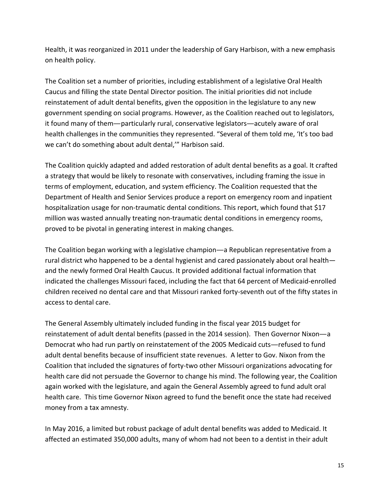Health, it was reorganized in 2011 under the leadership of Gary Harbison, with a new emphasis on health policy.

The Coalition set a number of priorities, including establishment of a legislative Oral Health Caucus and filling the state Dental Director position. The initial priorities did not include reinstatement of adult dental benefits, given the opposition in the legislature to any new government spending on social programs. However, as the Coalition reached out to legislators, it found many of them—particularly rural, conservative legislators—acutely aware of oral health challenges in the communities they represented. "Several of them told me, 'It's too bad we can't do something about adult dental,'" Harbison said.

The Coalition quickly adapted and added restoration of adult dental benefits as a goal. It crafted a strategy that would be likely to resonate with conservatives, including framing the issue in terms of employment, education, and system efficiency. The Coalition requested that the Department of Health and Senior Services produce a report on emergency room and inpatient hospitalization usage for non-traumatic dental conditions. This report, which found that \$17 million was wasted annually treating non-traumatic dental conditions in emergency rooms, proved to be pivotal in generating interest in making changes.

The Coalition began working with a legislative champion—a Republican representative from a rural district who happened to be a dental hygienist and cared passionately about oral health and the newly formed Oral Health Caucus. It provided additional factual information that indicated the challenges Missouri faced, including the fact that 64 percent of Medicaid-enrolled children received no dental care and that Missouri ranked forty-seventh out of the fifty states in access to dental care.

The General Assembly ultimately included funding in the fiscal year 2015 budget for reinstatement of adult dental benefits (passed in the 2014 session). Then Governor Nixon—a Democrat who had run partly on reinstatement of the 2005 Medicaid cuts—refused to fund adult dental benefits because of insufficient state revenues. A letter to Gov. Nixon from the Coalition that included the signatures of forty-two other Missouri organizations advocating for health care did not persuade the Governor to change his mind. The following year, the Coalition again worked with the legislature, and again the General Assembly agreed to fund adult oral health care. This time Governor Nixon agreed to fund the benefit once the state had received money from a tax amnesty.

In May 2016, a limited but robust package of adult dental benefits was added to Medicaid. It affected an estimated 350,000 adults, many of whom had not been to a dentist in their adult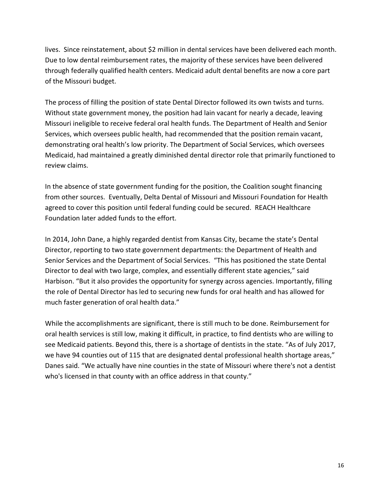lives. Since reinstatement, about \$2 million in dental services have been delivered each month. Due to low dental reimbursement rates, the majority of these services have been delivered through federally qualified health centers. Medicaid adult dental benefits are now a core part of the Missouri budget.

The process of filling the position of state Dental Director followed its own twists and turns. Without state government money, the position had lain vacant for nearly a decade, leaving Missouri ineligible to receive federal oral health funds. The Department of Health and Senior Services, which oversees public health, had recommended that the position remain vacant, demonstrating oral health's low priority. The Department of Social Services, which oversees Medicaid, had maintained a greatly diminished dental director role that primarily functioned to review claims.

In the absence of state government funding for the position, the Coalition sought financing from other sources. Eventually, Delta Dental of Missouri and Missouri Foundation for Health agreed to cover this position until federal funding could be secured. REACH Healthcare Foundation later added funds to the effort.

In 2014, John Dane, a highly regarded dentist from Kansas City, became the state's Dental Director, reporting to two state government departments: the Department of Health and Senior Services and the Department of Social Services. "This has positioned the state Dental Director to deal with two large, complex, and essentially different state agencies," said Harbison. "But it also provides the opportunity for synergy across agencies. Importantly, filling the role of Dental Director has led to securing new funds for oral health and has allowed for much faster generation of oral health data."

While the accomplishments are significant, there is still much to be done. Reimbursement for oral health services is still low, making it difficult, in practice, to find dentists who are willing to see Medicaid patients. Beyond this, there is a shortage of dentists in the state. "As of July 2017, we have 94 counties out of 115 that are designated dental professional health shortage areas," Danes said. "We actually have nine counties in the state of Missouri where there's not a dentist who's licensed in that county with an office address in that county."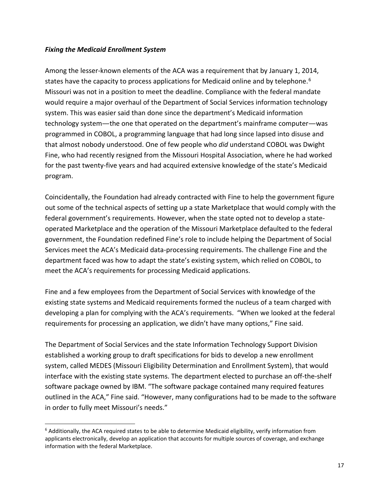#### <span id="page-16-0"></span>*Fixing the Medicaid Enrollment System*

Among the lesser-known elements of the ACA was a requirement that by January 1, 2014, states have the capacity to process applications for Medicaid online and by telephone.<sup>[6](#page-16-1)</sup> Missouri was not in a position to meet the deadline. Compliance with the federal mandate would require a major overhaul of the Department of Social Services information technology system. This was easier said than done since the department's Medicaid information technology system—the one that operated on the department's mainframe computer—was programmed in COBOL, a programming language that had long since lapsed into disuse and that almost nobody understood. One of few people who *did* understand COBOL was Dwight Fine, who had recently resigned from the Missouri Hospital Association, where he had worked for the past twenty-five years and had acquired extensive knowledge of the state's Medicaid program.

Coincidentally, the Foundation had already contracted with Fine to help the government figure out some of the technical aspects of setting up a state Marketplace that would comply with the federal government's requirements. However, when the state opted not to develop a stateoperated Marketplace and the operation of the Missouri Marketplace defaulted to the federal government, the Foundation redefined Fine's role to include helping the Department of Social Services meet the ACA's Medicaid data-processing requirements. The challenge Fine and the department faced was how to adapt the state's existing system, which relied on COBOL, to meet the ACA's requirements for processing Medicaid applications.

Fine and a few employees from the Department of Social Services with knowledge of the existing state systems and Medicaid requirements formed the nucleus of a team charged with developing a plan for complying with the ACA's requirements. "When we looked at the federal requirements for processing an application, we didn't have many options," Fine said.

The Department of Social Services and the state Information Technology Support Division established a working group to draft specifications for bids to develop a new enrollment system, called MEDES (Missouri Eligibility Determination and Enrollment System), that would interface with the existing state systems. The department elected to purchase an off-the-shelf software package owned by IBM. "The software package contained many required features outlined in the ACA," Fine said. "However, many configurations had to be made to the software in order to fully meet Missouri's needs."

<span id="page-16-1"></span> $6$  Additionally, the ACA required states to be able to determine Medicaid eligibility, verify information from applicants electronically, develop an application that accounts for multiple sources of coverage, and exchange information with the federal Marketplace.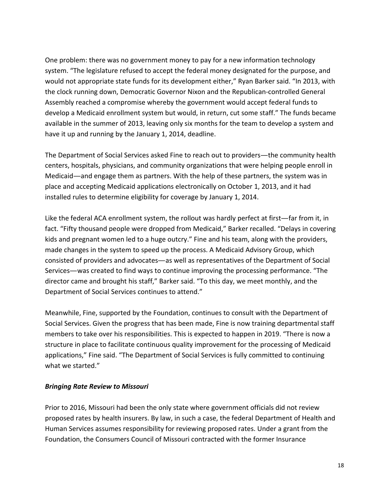<span id="page-17-0"></span>One problem: there was no government money to pay for a new information technology system. "The legislature refused to accept the federal money designated for the purpose, and would not appropriate state funds for its development either," Ryan Barker said. "In 2013, with the clock running down, Democratic Governor Nixon and the Republican-controlled General Assembly reached a compromise whereby the government would accept federal funds to develop a Medicaid enrollment system but would, in return, cut some staff." The funds became available in the summer of 2013, leaving only six months for the team to develop a system and have it up and running by the January 1, 2014, deadline.

The Department of Social Services asked Fine to reach out to providers—the community health centers, hospitals, physicians, and community organizations that were helping people enroll in Medicaid—and engage them as partners. With the help of these partners, the system was in place and accepting Medicaid applications electronically on October 1, 2013, and it had installed rules to determine eligibility for coverage by January 1, 2014.

Like the federal ACA enrollment system, the rollout was hardly perfect at first—far from it, in fact. "Fifty thousand people were dropped from Medicaid," Barker recalled. "Delays in covering kids and pregnant women led to a huge outcry." Fine and his team, along with the providers, made changes in the system to speed up the process. A Medicaid Advisory Group, which consisted of providers and advocates—as well as representatives of the Department of Social Services—was created to find ways to continue improving the processing performance. "The director came and brought his staff," Barker said. "To this day, we meet monthly, and the Department of Social Services continues to attend."

Meanwhile, Fine, supported by the Foundation, continues to consult with the Department of Social Services. Given the progress that has been made, Fine is now training departmental staff members to take over his responsibilities. This is expected to happen in 2019. "There is now a structure in place to facilitate continuous quality improvement for the processing of Medicaid applications," Fine said. "The Department of Social Services is fully committed to continuing what we started."

#### *Bringing Rate Review to Missouri*

Prior to 2016, Missouri had been the only state where government officials did not review proposed rates by health insurers. By law, in such a case, the federal Department of Health and Human Services assumes responsibility for reviewing proposed rates. Under a grant from the Foundation, the Consumers Council of Missouri contracted with the former Insurance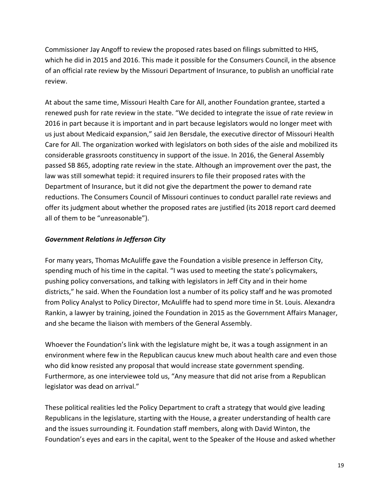<span id="page-18-0"></span>Commissioner Jay Angoff to review the proposed rates based on filings submitted to HHS, which he did in 2015 and 2016. This made it possible for the Consumers Council, in the absence of an official rate review by the Missouri Department of Insurance, to publish an unofficial rate review.

At about the same time, Missouri Health Care for All, another Foundation grantee, started a renewed push for rate review in the state. "We decided to integrate the issue of rate review in 2016 in part because it is important and in part because legislators would no longer meet with us just about Medicaid expansion," said Jen Bersdale, the executive director of Missouri Health Care for All. The organization worked with legislators on both sides of the aisle and mobilized its considerable grassroots constituency in support of the issue. In 2016, the General Assembly passed SB 865, adopting rate review in the state. Although an improvement over the past, the law was still somewhat tepid: it required insurers to file their proposed rates with the Department of Insurance, but it did not give the department the power to demand rate reductions. The Consumers Council of Missouri continues to conduct parallel rate reviews and offer its judgment about whether the proposed rates are justified (its 2018 report card deemed all of them to be "unreasonable").

# *Government Relations in Jefferson City*

For many years, Thomas McAuliffe gave the Foundation a visible presence in Jefferson City, spending much of his time in the capital. "I was used to meeting the state's policymakers, pushing policy conversations, and talking with legislators in Jeff City and in their home districts," he said. When the Foundation lost a number of its policy staff and he was promoted from Policy Analyst to Policy Director, McAuliffe had to spend more time in St. Louis. Alexandra Rankin, a lawyer by training, joined the Foundation in 2015 as the Government Affairs Manager, and she became the liaison with members of the General Assembly.

Whoever the Foundation's link with the legislature might be, it was a tough assignment in an environment where few in the Republican caucus knew much about health care and even those who did know resisted any proposal that would increase state government spending. Furthermore, as one interviewee told us, "Any measure that did not arise from a Republican legislator was dead on arrival."

These political realities led the Policy Department to craft a strategy that would give leading Republicans in the legislature, starting with the House, a greater understanding of health care and the issues surrounding it. Foundation staff members, along with David Winton, the Foundation's eyes and ears in the capital, went to the Speaker of the House and asked whether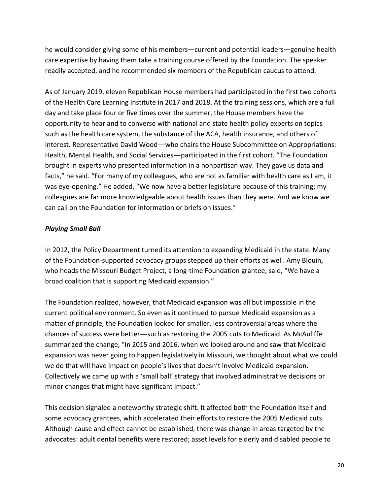<span id="page-19-0"></span>he would consider giving some of his members—current and potential leaders—genuine health care expertise by having them take a training course offered by the Foundation. The speaker readily accepted, and he recommended six members of the Republican caucus to attend.

As of January 2019, eleven Republican House members had participated in the first two cohorts of the Health Care Learning Institute in 2017 and 2018. At the training sessions, which are a full day and take place four or five times over the summer, the House members have the opportunity to hear and to converse with national and state health policy experts on topics such as the health care system, the substance of the ACA, health insurance, and others of interest. Representative David Wood—who chairs the House Subcommittee on Appropriations: Health, Mental Health, and Social Services—participated in the first cohort. "The Foundation brought in experts who presented information in a nonpartisan way. They gave us data and facts," he said. "For many of my colleagues, who are not as familiar with health care as I am, it was eye-opening." He added, "We now have a better legislature because of this training; my colleagues are far more knowledgeable about health issues than they were. And we know we can call on the Foundation for information or briefs on issues."

# *Playing Small Ball*

In 2012, the Policy Department turned its attention to expanding Medicaid in the state. Many of the Foundation-supported advocacy groups stepped up their efforts as well. Amy Blouin, who heads the Missouri Budget Project, a long-time Foundation grantee, said, "We have a broad coalition that is supporting Medicaid expansion."

The Foundation realized, however, that Medicaid expansion was all but impossible in the current political environment. So even as it continued to pursue Medicaid expansion as a matter of principle, the Foundation looked for smaller, less controversial areas where the chances of success were better—such as restoring the 2005 cuts to Medicaid. As McAuliffe summarized the change, "In 2015 and 2016, when we looked around and saw that Medicaid expansion was never going to happen legislatively in Missouri, we thought about what we could we do that will have impact on people's lives that doesn't involve Medicaid expansion. Collectively we came up with a 'small ball' strategy that involved administrative decisions or minor changes that might have significant impact."

This decision signaled a noteworthy strategic shift. It affected both the Foundation itself and some advocacy grantees, which accelerated their efforts to restore the 2005 Medicaid cuts. Although cause and effect cannot be established, there was change in areas targeted by the advocates: adult dental benefits were restored; asset levels for elderly and disabled people to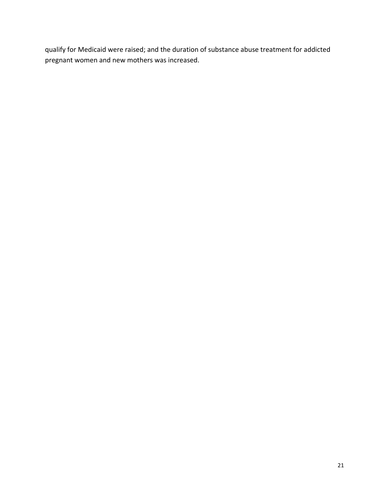qualify for Medicaid were raised; and the duration of substance abuse treatment for addicted pregnant women and new mothers was increased.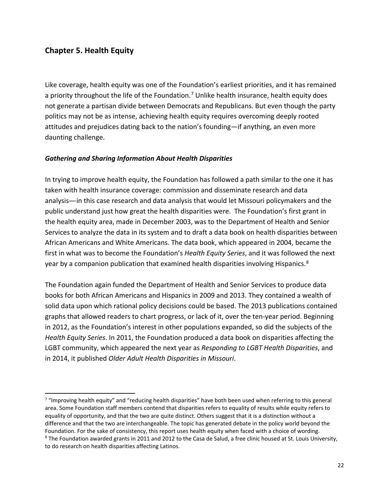# <span id="page-21-0"></span>**Chapter 5. Health Equity**

Like coverage, health equity was one of the Foundation's earliest priorities, and it has remained a priority throughout the life of the Foundation.<sup>[7](#page-21-1)</sup> Unlike health insurance, health equity does not generate a partisan divide between Democrats and Republicans. But even though the party politics may not be as intense, achieving health equity requires overcoming deeply rooted attitudes and prejudices dating back to the nation's founding—if anything, an even more daunting challenge.

### *Gathering and Sharing Information About Health Disparities*

In trying to improve health equity, the Foundation has followed a path similar to the one it has taken with health insurance coverage: commission and disseminate research and data analysis—in this case research and data analysis that would let Missouri policymakers and the public understand just how great the health disparities were. The Foundation's first grant in the health equity area, made in December 2003, was to the Department of Health and Senior Services to analyze the data in its system and to draft a data book on health disparities between African Americans and White Americans. The data book, which appeared in 2004, became the first in what was to become the Foundation's *Health Equity Series*, and it was followed the next year by a companion publication that examined health disparities involving Hispanics.<sup>[8](#page-21-2)</sup>

The Foundation again funded the Department of Health and Senior Services to produce data books for both African Americans and Hispanics in 2009 and 2013. They contained a wealth of solid data upon which rational policy decisions could be based. The 2013 publications contained graphs that allowed readers to chart progress, or lack of it, over the ten-year period. Beginning in 2012, as the Foundation's interest in other populations expanded, so did the subjects of the *Health Equity Series*. In 2011, the Foundation produced a data book on disparities affecting the LGBT community, which appeared the next year as *Responding to LGBT Health Disparities*, and in 2014, it published *Older Adult Health Disparities in Missouri*.

<span id="page-21-2"></span><span id="page-21-1"></span> $7$  "Improving health equity" and "reducing health disparities" have both been used when referring to this general area. Some Foundation staff members contend that disparities refers to equality of results while equity refers to equality of opportunity, and that the two are quite distinct. Others suggest that it is a distinction without a difference and that the two are interchangeable. The topic has generated debate in the policy world beyond the Foundation. For the sake of consistency, this report uses health equity when faced with a choice of wording. <sup>8</sup> The Foundation awarded grants in 2011 and 2012 to the Casa de Salud, a free clinic housed at St. Louis University, to do research on health disparities affecting Latinos.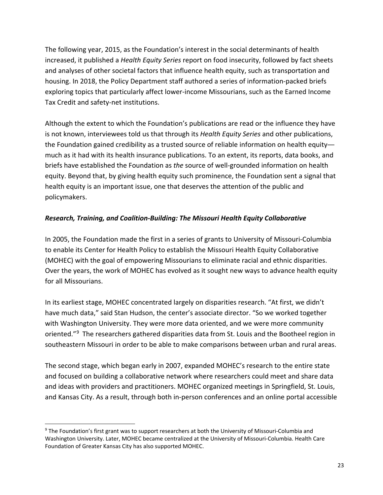<span id="page-22-0"></span>The following year, 2015, as the Foundation's interest in the social determinants of health increased, it published a *Health Equity Series* report on food insecurity, followed by fact sheets and analyses of other societal factors that influence health equity, such as transportation and housing. In 2018, the Policy Department staff authored a series of information-packed briefs exploring topics that particularly affect lower-income Missourians, such as the Earned Income Tax Credit and safety-net institutions.

Although the extent to which the Foundation's publications are read or the influence they have is not known, interviewees told us that through its *Health Equity Series* and other publications, the Foundation gained credibility as a trusted source of reliable information on health equity much as it had with its health insurance publications. To an extent, its reports, data books, and briefs have established the Foundation as *the* source of well-grounded information on health equity. Beyond that, by giving health equity such prominence, the Foundation sent a signal that health equity is an important issue, one that deserves the attention of the public and policymakers.

# *Research, Training, and Coalition-Building: The Missouri Health Equity Collaborative*

In 2005, the Foundation made the first in a series of grants to University of Missouri-Columbia to enable its Center for Health Policy to establish the Missouri Health Equity Collaborative (MOHEC) with the goal of empowering Missourians to eliminate racial and ethnic disparities. Over the years, the work of MOHEC has evolved as it sought new ways to advance health equity for all Missourians.

In its earliest stage, MOHEC concentrated largely on disparities research. "At first, we didn't have much data," said Stan Hudson, the center's associate director. "So we worked together with Washington University. They were more data oriented, and we were more community oriented."<sup>[9](#page-22-1)</sup> The researchers gathered disparities data from St. Louis and the Bootheel region in southeastern Missouri in order to be able to make comparisons between urban and rural areas.

The second stage, which began early in 2007, expanded MOHEC's research to the entire state and focused on building a collaborative network where researchers could meet and share data and ideas with providers and practitioners. MOHEC organized meetings in Springfield, St. Louis, and Kansas City. As a result, through both in-person conferences and an online portal accessible

<span id="page-22-1"></span><sup>&</sup>lt;sup>9</sup> The Foundation's first grant was to support researchers at both the University of Missouri-Columbia and Washington University. Later, MOHEC became centralized at the University of Missouri-Columbia. Health Care Foundation of Greater Kansas City has also supported MOHEC.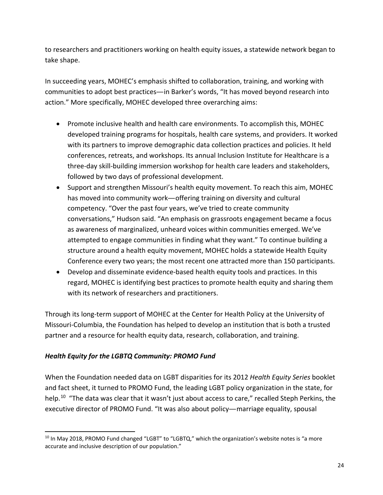<span id="page-23-0"></span>to researchers and practitioners working on health equity issues, a statewide network began to take shape.

In succeeding years, MOHEC's emphasis shifted to collaboration, training, and working with communities to adopt best practices—in Barker's words, "It has moved beyond research into action." More specifically, MOHEC developed three overarching aims:

- Promote inclusive health and health care environments. To accomplish this, MOHEC developed training programs for hospitals, health care systems, and providers. It worked with its partners to improve demographic data collection practices and policies. It held conferences, retreats, and workshops. Its annual Inclusion Institute for Healthcare is a three-day skill-building immersion workshop for health care leaders and stakeholders, followed by two days of professional development.
- Support and strengthen Missouri's health equity movement. To reach this aim, MOHEC has moved into community work—offering training on diversity and cultural competency. "Over the past four years, we've tried to create community conversations," Hudson said. "An emphasis on grassroots engagement became a focus as awareness of marginalized, unheard voices within communities emerged. We've attempted to engage communities in finding what they want." To continue building a structure around a health equity movement, MOHEC holds a statewide Health Equity Conference every two years; the most recent one attracted more than 150 participants.
- Develop and disseminate evidence-based health equity tools and practices. In this regard, MOHEC is identifying best practices to promote health equity and sharing them with its network of researchers and practitioners.

Through its long-term support of MOHEC at the Center for Health Policy at the University of Missouri-Columbia, the Foundation has helped to develop an institution that is both a trusted partner and a resource for health equity data, research, collaboration, and training.

# *Health Equity for the LGBTQ Community: PROMO Fund*

When the Foundation needed data on LGBT disparities for its 2012 *Health Equity Series* booklet and fact sheet, it turned to PROMO Fund, the leading LGBT policy organization in the state, for help.<sup>10</sup> "The data was clear that it wasn't just about access to care," recalled Steph Perkins, the executive director of PROMO Fund. "It was also about policy—marriage equality, spousal

<span id="page-23-1"></span><sup>10</sup> In May 2018, PROMO Fund changed "LGBT" to "LGBTQ," which the organization's website notes is "a more accurate and inclusive description of our population."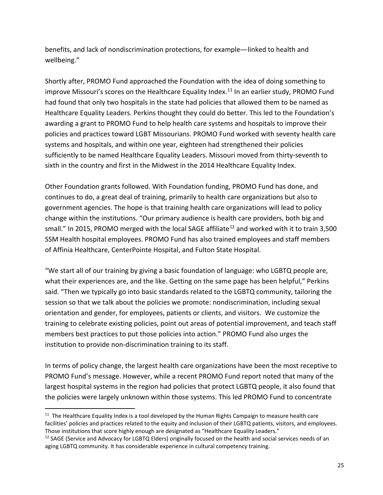benefits, and lack of nondiscrimination protections, for example—linked to health and wellbeing."

Shortly after, PROMO Fund approached the Foundation with the idea of doing something to improve Missouri's scores on the Healthcare Equality Index.<sup>[11](#page-24-0)</sup> In an earlier study, PROMO Fund had found that only two hospitals in the state had policies that allowed them to be named as Healthcare Equality Leaders. Perkins thought they could do better. This led to the Foundation's awarding a grant to PROMO Fund to help health care systems and hospitals to improve their policies and practices toward LGBT Missourians. PROMO Fund worked with seventy health care systems and hospitals, and within one year, eighteen had strengthened their policies sufficiently to be named Healthcare Equality Leaders. Missouri moved from thirty-seventh to sixth in the country and first in the Midwest in the 2014 Healthcare Equality Index.

Other Foundation grants followed. With Foundation funding, PROMO Fund has done, and continues to do, a great deal of training, primarily to health care organizations but also to government agencies. The hope is that training health care organizations will lead to policy change within the institutions. "Our primary audience is health care providers, both big and small." In 2015, PROMO merged with the local SAGE affiliate<sup>[12](#page-24-1)</sup> and worked with it to train 3,500 SSM Health hospital employees. PROMO Fund has also trained employees and staff members of Affinia Healthcare, CenterPointe Hospital, and Fulton State Hospital.

"We start all of our training by giving a basic foundation of language: who LGBTQ people are, what their experiences are, and the like. Getting on the same page has been helpful," Perkins said. "Then we typically go into basic standards related to the LGBTQ community, tailoring the session so that we talk about the policies we promote: nondiscrimination, including sexual orientation and gender, for employees, patients or clients, and visitors. We customize the training to celebrate existing policies, point out areas of potential improvement, and teach staff members best practices to put those policies into action." PROMO Fund also urges the institution to provide non-discrimination training to its staff.

In terms of policy change, the largest health care organizations have been the most receptive to PROMO Fund's message. However, while a recent PROMO Fund report noted that many of the largest hospital systems in the region had policies that protect LGBTQ people, it also found that the policies were largely unknown within those systems. This led PROMO Fund to concentrate

<span id="page-24-0"></span> $11$  The Healthcare Equality Index is a tool developed by the Human Rights Campaign to measure health care facilities' policies and practices related to the equity and inclusion of their LGBTQ patients, visitors, and employees. Those institutions that score highly enough are designated as "Healthcare Equality Leaders."

<span id="page-24-1"></span><sup>&</sup>lt;sup>12</sup> SAGE (Service and Advocacy for LGBTQ Elders) originally focused on the health and social services needs of an aging LGBTQ community. It has considerable experience in cultural competency training.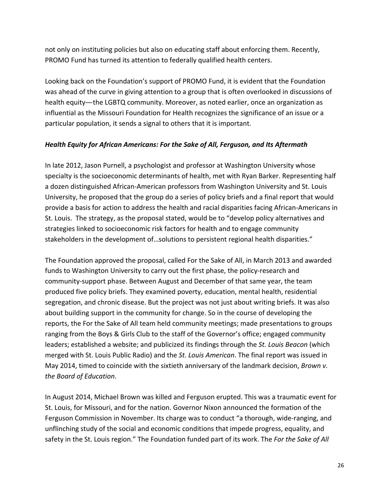<span id="page-25-0"></span>not only on instituting policies but also on educating staff about enforcing them. Recently, PROMO Fund has turned its attention to federally qualified health centers.

Looking back on the Foundation's support of PROMO Fund, it is evident that the Foundation was ahead of the curve in giving attention to a group that is often overlooked in discussions of health equity—the LGBTQ community. Moreover, as noted earlier, once an organization as influential as the Missouri Foundation for Health recognizes the significance of an issue or a particular population, it sends a signal to others that it is important.

#### *Health Equity for African Americans: For the Sake of All, Ferguson, and Its Aftermath*

In late 2012, Jason Purnell, a psychologist and professor at Washington University whose specialty is the socioeconomic determinants of health, met with Ryan Barker. Representing half a dozen distinguished African-American professors from Washington University and St. Louis University, he proposed that the group do a series of policy briefs and a final report that would provide a basis for action to address the health and racial disparities facing African-Americans in St. Louis. The strategy, as the proposal stated, would be to "develop policy alternatives and strategies linked to socioeconomic risk factors for health and to engage community stakeholders in the development of…solutions to persistent regional health disparities."

The Foundation approved the proposal, called For the Sake of All, in March 2013 and awarded funds to Washington University to carry out the first phase, the policy-research and community-support phase. Between August and December of that same year, the team produced five policy briefs. They examined poverty, education, mental health, residential segregation, and chronic disease. But the project was not just about writing briefs. It was also about building support in the community for change. So in the course of developing the reports, the For the Sake of All team held community meetings; made presentations to groups ranging from the Boys & Girls Club to the staff of the Governor's office; engaged community leaders; established a website; and publicized its findings through the *St. Louis Beacon* (which merged with St. Louis Public Radio) and the *St. Louis American*. The final report was issued in May 2014, timed to coincide with the sixtieth anniversary of the landmark decision, *Brown v. the Board of Education*.

In August 2014, Michael Brown was killed and Ferguson erupted. This was a traumatic event for St. Louis, for Missouri, and for the nation. Governor Nixon announced the formation of the Ferguson Commission in November. Its charge was to conduct "a thorough, wide-ranging, and unflinching study of the social and economic conditions that impede progress, equality, and safety in the St. Louis region." The Foundation funded part of its work. The *For the Sake of All*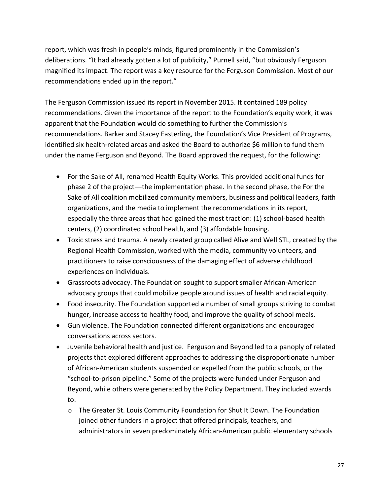report, which was fresh in people's minds, figured prominently in the Commission's deliberations. "It had already gotten a lot of publicity," Purnell said, "but obviously Ferguson magnified its impact. The report was a key resource for the Ferguson Commission. Most of our recommendations ended up in the report."

The Ferguson Commission issued its report in November 2015. It contained 189 policy recommendations. Given the importance of the report to the Foundation's equity work, it was apparent that the Foundation would do something to further the Commission's recommendations. Barker and Stacey Easterling, the Foundation's Vice President of Programs, identified six health-related areas and asked the Board to authorize \$6 million to fund them under the name Ferguson and Beyond. The Board approved the request, for the following:

- For the Sake of All, renamed Health Equity Works. This provided additional funds for phase 2 of the project—the implementation phase. In the second phase, the For the Sake of All coalition mobilized community members, business and political leaders, faith organizations, and the media to implement the recommendations in its report, especially the three areas that had gained the most traction: (1) school-based health centers, (2) coordinated school health, and (3) affordable housing.
- Toxic stress and trauma. A newly created group called Alive and Well STL, created by the Regional Health Commission, worked with the media, community volunteers, and practitioners to raise consciousness of the damaging effect of adverse childhood experiences on individuals.
- Grassroots advocacy. The Foundation sought to support smaller African-American advocacy groups that could mobilize people around issues of health and racial equity.
- Food insecurity. The Foundation supported a number of small groups striving to combat hunger, increase access to healthy food, and improve the quality of school meals.
- Gun violence. The Foundation connected different organizations and encouraged conversations across sectors.
- Juvenile behavioral health and justice. Ferguson and Beyond led to a panoply of related projects that explored different approaches to addressing the disproportionate number of African-American students suspended or expelled from the public schools, or the "school-to-prison pipeline." Some of the projects were funded under Ferguson and Beyond, while others were generated by the Policy Department. They included awards to:
	- o The Greater St. Louis Community Foundation for Shut It Down. The Foundation joined other funders in a project that offered principals, teachers, and administrators in seven predominately African-American public elementary schools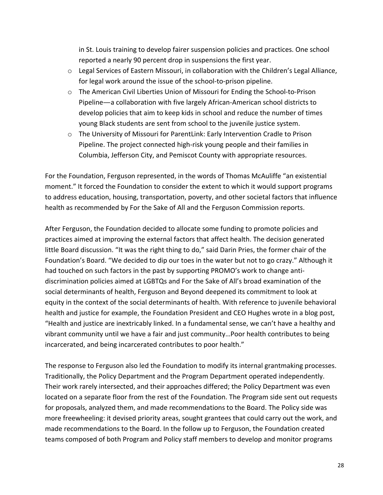in St. Louis training to develop fairer suspension policies and practices. One school reported a nearly 90 percent drop in suspensions the first year.

- o Legal Services of Eastern Missouri, in collaboration with the Children's Legal Alliance, for legal work around the issue of the school-to-prison pipeline.
- o The American Civil Liberties Union of Missouri for Ending the School-to-Prison Pipeline—a collaboration with five largely African-American school districts to develop policies that aim to keep kids in school and reduce the number of times young Black students are sent from school to the juvenile justice system.
- o The University of Missouri for ParentLink: Early Intervention Cradle to Prison Pipeline. The project connected high-risk young people and their families in Columbia, Jefferson City, and Pemiscot County with appropriate resources.

For the Foundation, Ferguson represented, in the words of Thomas McAuliffe "an existential moment." It forced the Foundation to consider the extent to which it would support programs to address education, housing, transportation, poverty, and other societal factors that influence health as recommended by For the Sake of All and the Ferguson Commission reports.

After Ferguson, the Foundation decided to allocate some funding to promote policies and practices aimed at improving the external factors that affect health. The decision generated little Board discussion. "It was the right thing to do," said Darin Pries, the former chair of the Foundation's Board. "We decided to dip our toes in the water but not to go crazy." Although it had touched on such factors in the past by supporting PROMO's work to change antidiscrimination policies aimed at LGBTQs and For the Sake of All's broad examination of the social determinants of health, Ferguson and Beyond deepened its commitment to look at equity in the context of the social determinants of health. With reference to juvenile behavioral health and justice for example, the Foundation President and CEO Hughes wrote in a blog post, "Health and justice are inextricably linked. In a fundamental sense, we can't have a healthy and vibrant community until we have a fair and just community…Poor health contributes to being incarcerated, and being incarcerated contributes to poor health."

The response to Ferguson also led the Foundation to modify its internal grantmaking processes. Traditionally, the Policy Department and the Program Department operated independently. Their work rarely intersected, and their approaches differed; the Policy Department was even located on a separate floor from the rest of the Foundation. The Program side sent out requests for proposals, analyzed them, and made recommendations to the Board. The Policy side was more freewheeling: it devised priority areas, sought grantees that could carry out the work, and made recommendations to the Board. In the follow up to Ferguson, the Foundation created teams composed of both Program and Policy staff members to develop and monitor programs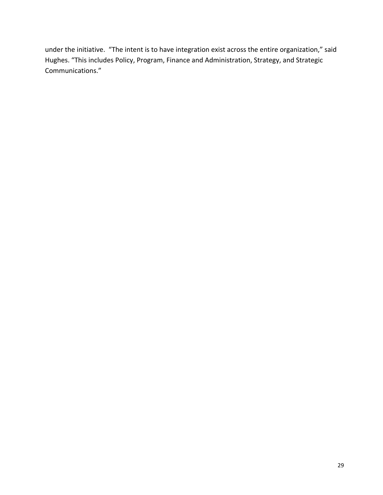under the initiative. "The intent is to have integration exist across the entire organization," said Hughes. "This includes Policy, Program, Finance and Administration, Strategy, and Strategic Communications."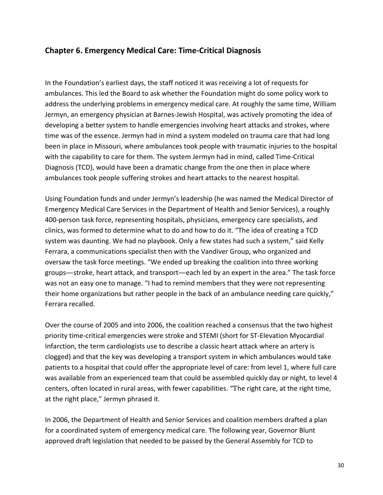# <span id="page-29-0"></span>**Chapter 6. Emergency Medical Care: Time-Critical Diagnosis**

In the Foundation's earliest days, the staff noticed it was receiving a lot of requests for ambulances. This led the Board to ask whether the Foundation might do some policy work to address the underlying problems in emergency medical care. At roughly the same time, William Jermyn, an emergency physician at Barnes-Jewish Hospital, was actively promoting the idea of developing a better system to handle emergencies involving heart attacks and strokes, where time was of the essence. Jermyn had in mind a system modeled on trauma care that had long been in place in Missouri, where ambulances took people with traumatic injuries to the hospital with the capability to care for them. The system Jermyn had in mind, called Time-Critical Diagnosis (TCD), would have been a dramatic change from the one then in place where ambulances took people suffering strokes and heart attacks to the nearest hospital.

Using Foundation funds and under Jermyn's leadership (he was named the Medical Director of Emergency Medical Care Services in the Department of Health and Senior Services), a roughly 400-person task force, representing hospitals, physicians, emergency care specialists, and clinics, was formed to determine what to do and how to do it. "The idea of creating a TCD system was daunting. We had no playbook. Only a few states had such a system," said Kelly Ferrara, a communications specialist then with the Vandiver Group, who organized and oversaw the task force meetings. "We ended up breaking the coalition into three working groups—stroke, heart attack, and transport—each led by an expert in the area." The task force was not an easy one to manage. "I had to remind members that they were not representing their home organizations but rather people in the back of an ambulance needing care quickly," Ferrara recalled.

Over the course of 2005 and into 2006, the coalition reached a consensus that the two highest priority time-critical emergencies were stroke and STEMI (short for ST-Elevation Myocardial Infarction, the term cardiologists use to describe a classic heart attack where an artery is clogged) and that the key was developing a transport system in which ambulances would take patients to a hospital that could offer the appropriate level of care: from level 1, where full care was available from an experienced team that could be assembled quickly day or night, to level 4 centers, often located in rural areas, with fewer capabilities. "The right care, at the right time, at the right place," Jermyn phrased it.

In 2006, the Department of Health and Senior Services and coalition members drafted a plan for a coordinated system of emergency medical care. The following year, Governor Blunt approved draft legislation that needed to be passed by the General Assembly for TCD to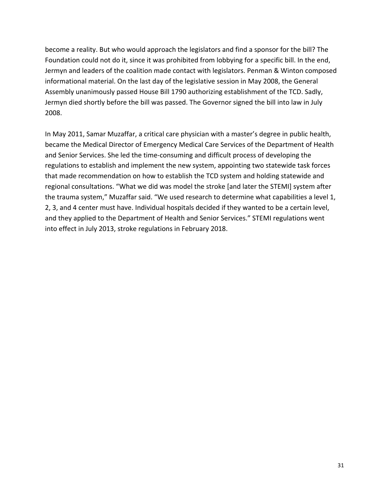become a reality. But who would approach the legislators and find a sponsor for the bill? The Foundation could not do it, since it was prohibited from lobbying for a specific bill. In the end, Jermyn and leaders of the coalition made contact with legislators. Penman & Winton composed informational material. On the last day of the legislative session in May 2008, the General Assembly unanimously passed House Bill 1790 authorizing establishment of the TCD. Sadly, Jermyn died shortly before the bill was passed. The Governor signed the bill into law in July 2008.

In May 2011, Samar Muzaffar, a critical care physician with a master's degree in public health, became the Medical Director of Emergency Medical Care Services of the Department of Health and Senior Services. She led the time-consuming and difficult process of developing the regulations to establish and implement the new system, appointing two statewide task forces that made recommendation on how to establish the TCD system and holding statewide and regional consultations. "What we did was model the stroke [and later the STEMI] system after the trauma system," Muzaffar said. "We used research to determine what capabilities a level 1, 2, 3, and 4 center must have. Individual hospitals decided if they wanted to be a certain level, and they applied to the Department of Health and Senior Services." STEMI regulations went into effect in July 2013, stroke regulations in February 2018.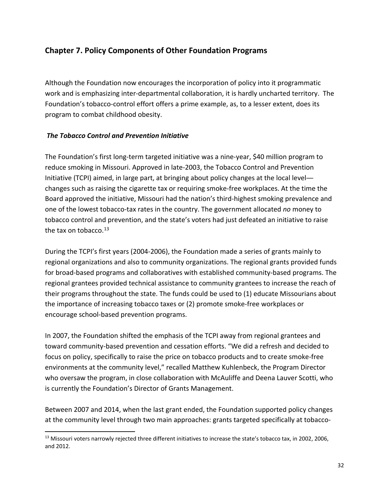# <span id="page-31-0"></span>**Chapter 7. Policy Components of Other Foundation Programs**

Although the Foundation now encourages the incorporation of policy into it programmatic work and is emphasizing inter-departmental collaboration, it is hardly uncharted territory. The Foundation's tobacco-control effort offers a prime example, as, to a lesser extent, does its program to combat childhood obesity.

### *The Tobacco Control and Prevention Initiative*

The Foundation's first long-term targeted initiative was a nine-year, \$40 million program to reduce smoking in Missouri. Approved in late-2003, the Tobacco Control and Prevention Initiative (TCPI) aimed, in large part, at bringing about policy changes at the local level changes such as raising the cigarette tax or requiring smoke-free workplaces. At the time the Board approved the initiative, Missouri had the nation's third-highest smoking prevalence and one of the lowest tobacco-tax rates in the country. The government allocated *no* money to tobacco control and prevention, and the state's voters had just defeated an initiative to raise the tax on tobacco. $13$ 

During the TCPI's first years (2004-2006), the Foundation made a series of grants mainly to regional organizations and also to community organizations. The regional grants provided funds for broad-based programs and collaboratives with established community-based programs. The regional grantees provided technical assistance to community grantees to increase the reach of their programs throughout the state. The funds could be used to (1) educate Missourians about the importance of increasing tobacco taxes or (2) promote smoke-free workplaces or encourage school-based prevention programs.

In 2007, the Foundation shifted the emphasis of the TCPI away from regional grantees and toward community-based prevention and cessation efforts. "We did a refresh and decided to focus on policy, specifically to raise the price on tobacco products and to create smoke-free environments at the community level," recalled Matthew Kuhlenbeck, the Program Director who oversaw the program, in close collaboration with McAuliffe and Deena Lauver Scotti, who is currently the Foundation's Director of Grants Management.

Between 2007 and 2014, when the last grant ended, the Foundation supported policy changes at the community level through two main approaches: grants targeted specifically at tobacco-

<span id="page-31-1"></span> $<sup>13</sup>$  Missouri voters narrowly rejected three different initiatives to increase the state's tobacco tax, in 2002, 2006,</sup> and 2012.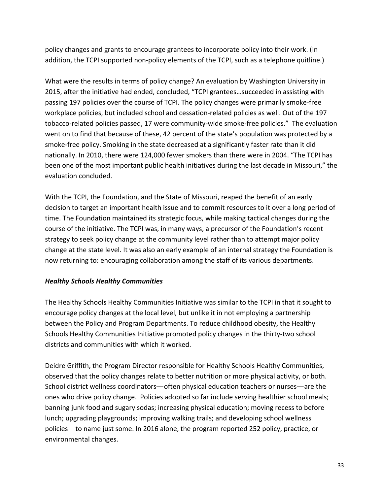<span id="page-32-0"></span>policy changes and grants to encourage grantees to incorporate policy into their work. (In addition, the TCPI supported non-policy elements of the TCPI, such as a telephone quitline.)

What were the results in terms of policy change? An evaluation by Washington University in 2015, after the initiative had ended, concluded, "TCPI grantees…succeeded in assisting with passing 197 policies over the course of TCPI. The policy changes were primarily smoke-free workplace policies, but included school and cessation-related policies as well. Out of the 197 tobacco-related policies passed, 17 were community-wide smoke-free policies." The evaluation went on to find that because of these, 42 percent of the state's population was protected by a smoke-free policy. Smoking in the state decreased at a significantly faster rate than it did nationally. In 2010, there were 124,000 fewer smokers than there were in 2004. "The TCPI has been one of the most important public health initiatives during the last decade in Missouri," the evaluation concluded.

With the TCPI, the Foundation, and the State of Missouri, reaped the benefit of an early decision to target an important health issue and to commit resources to it over a long period of time. The Foundation maintained its strategic focus, while making tactical changes during the course of the initiative. The TCPI was, in many ways, a precursor of the Foundation's recent strategy to seek policy change at the community level rather than to attempt major policy change at the state level. It was also an early example of an internal strategy the Foundation is now returning to: encouraging collaboration among the staff of its various departments.

### *Healthy Schools Healthy Communities*

The Healthy Schools Healthy Communities Initiative was similar to the TCPI in that it sought to encourage policy changes at the local level, but unlike it in not employing a partnership between the Policy and Program Departments. To reduce childhood obesity, the Healthy Schools Healthy Communities Initiative promoted policy changes in the thirty-two school districts and communities with which it worked.

Deidre Griffith, the Program Director responsible for Healthy Schools Healthy Communities, observed that the policy changes relate to better nutrition or more physical activity, or both. School district wellness coordinators—often physical education teachers or nurses—are the ones who drive policy change. Policies adopted so far include serving healthier school meals; banning junk food and sugary sodas; increasing physical education; moving recess to before lunch; upgrading playgrounds; improving walking trails; and developing school wellness policies—to name just some. In 2016 alone, the program reported 252 policy, practice, or environmental changes.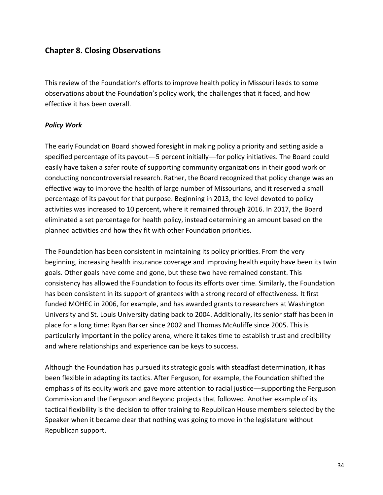# <span id="page-33-0"></span>**Chapter 8. Closing Observations**

This review of the Foundation's efforts to improve health policy in Missouri leads to some observations about the Foundation's policy work, the challenges that it faced, and how effective it has been overall.

#### *Policy Work*

The early Foundation Board showed foresight in making policy a priority and setting aside a specified percentage of its payout—5 percent initially—for policy initiatives. The Board could easily have taken a safer route of supporting community organizations in their good work or conducting noncontroversial research. Rather, the Board recognized that policy change was an effective way to improve the health of large number of Missourians, and it reserved a small percentage of its payout for that purpose. Beginning in 2013, the level devoted to policy activities was increased to 10 percent, where it remained through 2016. In 2017, the Board eliminated a set percentage for health policy, instead determining an amount based on the planned activities and how they fit with other Foundation priorities.

The Foundation has been consistent in maintaining its policy priorities. From the very beginning, increasing health insurance coverage and improving health equity have been its twin goals. Other goals have come and gone, but these two have remained constant. This consistency has allowed the Foundation to focus its efforts over time. Similarly, the Foundation has been consistent in its support of grantees with a strong record of effectiveness. It first funded MOHEC in 2006, for example, and has awarded grants to researchers at Washington University and St. Louis University dating back to 2004. Additionally, its senior staff has been in place for a long time: Ryan Barker since 2002 and Thomas McAuliffe since 2005. This is particularly important in the policy arena, where it takes time to establish trust and credibility and where relationships and experience can be keys to success.

Although the Foundation has pursued its strategic goals with steadfast determination, it has been flexible in adapting its tactics. After Ferguson, for example, the Foundation shifted the emphasis of its equity work and gave more attention to racial justice—supporting the Ferguson Commission and the Ferguson and Beyond projects that followed. Another example of its tactical flexibility is the decision to offer training to Republican House members selected by the Speaker when it became clear that nothing was going to move in the legislature without Republican support.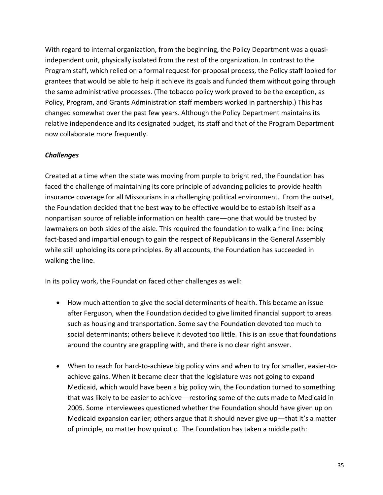With regard to internal organization, from the beginning, the Policy Department was a quasiindependent unit, physically isolated from the rest of the organization. In contrast to the Program staff, which relied on a formal request-for-proposal process, the Policy staff looked for grantees that would be able to help it achieve its goals and funded them without going through the same administrative processes. (The tobacco policy work proved to be the exception, as Policy, Program, and Grants Administration staff members worked in partnership.) This has changed somewhat over the past few years. Although the Policy Department maintains its relative independence and its designated budget, its staff and that of the Program Department now collaborate more frequently.

### *Challenges*

Created at a time when the state was moving from purple to bright red, the Foundation has faced the challenge of maintaining its core principle of advancing policies to provide health insurance coverage for all Missourians in a challenging political environment. From the outset, the Foundation decided that the best way to be effective would be to establish itself as a nonpartisan source of reliable information on health care—one that would be trusted by lawmakers on both sides of the aisle. This required the foundation to walk a fine line: being fact-based and impartial enough to gain the respect of Republicans in the General Assembly while still upholding its core principles. By all accounts, the Foundation has succeeded in walking the line.

In its policy work, the Foundation faced other challenges as well:

- How much attention to give the social determinants of health. This became an issue after Ferguson, when the Foundation decided to give limited financial support to areas such as housing and transportation. Some say the Foundation devoted too much to social determinants; others believe it devoted too little. This is an issue that foundations around the country are grappling with, and there is no clear right answer.
- When to reach for hard-to-achieve big policy wins and when to try for smaller, easier-toachieve gains. When it became clear that the legislature was not going to expand Medicaid, which would have been a big policy win, the Foundation turned to something that was likely to be easier to achieve—restoring some of the cuts made to Medicaid in 2005. Some interviewees questioned whether the Foundation should have given up on Medicaid expansion earlier; others argue that it should never give up—that it's a matter of principle, no matter how quixotic. The Foundation has taken a middle path: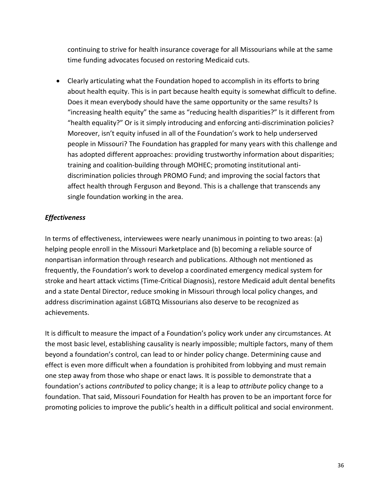continuing to strive for health insurance coverage for all Missourians while at the same time funding advocates focused on restoring Medicaid cuts.

• Clearly articulating what the Foundation hoped to accomplish in its efforts to bring about health equity. This is in part because health equity is somewhat difficult to define. Does it mean everybody should have the same opportunity or the same results? Is "increasing health equity" the same as "reducing health disparities?" Is it different from "health equality?" Or is it simply introducing and enforcing anti-discrimination policies? Moreover, isn't equity infused in all of the Foundation's work to help underserved people in Missouri? The Foundation has grappled for many years with this challenge and has adopted different approaches: providing trustworthy information about disparities; training and coalition-building through MOHEC; promoting institutional antidiscrimination policies through PROMO Fund; and improving the social factors that affect health through Ferguson and Beyond. This is a challenge that transcends any single foundation working in the area.

# *Effectiveness*

In terms of effectiveness, interviewees were nearly unanimous in pointing to two areas: (a) helping people enroll in the Missouri Marketplace and (b) becoming a reliable source of nonpartisan information through research and publications. Although not mentioned as frequently, the Foundation's work to develop a coordinated emergency medical system for stroke and heart attack victims (Time-Critical Diagnosis), restore Medicaid adult dental benefits and a state Dental Director, reduce smoking in Missouri through local policy changes, and address discrimination against LGBTQ Missourians also deserve to be recognized as achievements.

It is difficult to measure the impact of a Foundation's policy work under any circumstances. At the most basic level, establishing causality is nearly impossible; multiple factors, many of them beyond a foundation's control, can lead to or hinder policy change. Determining cause and effect is even more difficult when a foundation is prohibited from lobbying and must remain one step away from those who shape or enact laws. It is possible to demonstrate that a foundation's actions *contributed* to policy change; it is a leap to *attribute* policy change to a foundation. That said, Missouri Foundation for Health has proven to be an important force for promoting policies to improve the public's health in a difficult political and social environment.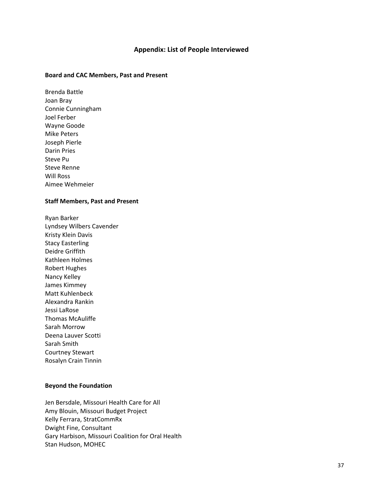#### **Appendix: List of People Interviewed**

#### <span id="page-36-0"></span>**Board and CAC Members, Past and Present**

Brenda Battle Joan Bray Connie Cunningham Joel Ferber Wayne Goode Mike Peters Joseph Pierle Darin Pries Steve Pu Steve Renne Will Ross Aimee Wehmeier

#### **Staff Members, Past and Present**

Ryan Barker Lyndsey Wilbers Cavender Kristy Klein Davis Stacy Easterling Deidre Griffith Kathleen Holmes Robert Hughes Nancy Kelley James Kimmey Matt Kuhlenbeck Alexandra Rankin Jessi LaRose Thomas McAuliffe Sarah Morrow Deena Lauver Scotti Sarah Smith Courtney Stewart Rosalyn Crain Tinnin

#### **Beyond the Foundation**

Jen Bersdale, Missouri Health Care for All Amy Blouin, Missouri Budget Project Kelly Ferrara, StratCommRx Dwight Fine, Consultant Gary Harbison, Missouri Coalition for Oral Health Stan Hudson, MOHEC